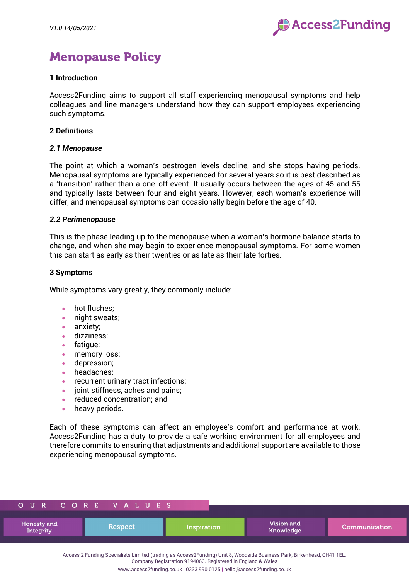

# Menopause Policy

## **1 Introduction**

Access2Funding aims to support all staff experiencing menopausal symptoms and help colleagues and line managers understand how they can support employees experiencing such symptoms.

### **2 Definitions**

### *2.1 Menopause*

The point at which a woman's oestrogen levels decline, and she stops having periods. Menopausal symptoms are typically experienced for several years so it is best described as a 'transition' rather than a one-off event. It usually occurs between the ages of 45 and 55 and typically lasts between four and eight years. However, each woman's experience will differ, and menopausal symptoms can occasionally begin before the age of 40.

### *2.2 Perimenopause*

This is the phase leading up to the menopause when a woman's hormone balance starts to change, and when she may begin to experience menopausal symptoms. For some women this can start as early as their twenties or as late as their late forties.

## **3 Symptoms**

While symptoms vary greatly, they commonly include:

- hot flushes:
- night sweats;
- anxiety;
- dizziness;
- fatigue;
- memory loss;
- depression;
- headaches;
- recurrent urinary tract infections:
- joint stiffness, aches and pains;
- reduced concentration; and
- heavy periods.

Each of these symptoms can affect an employee's comfort and performance at work. Access2Funding has a duty to provide a safe working environment for all employees and therefore commits to ensuring that adjustments and additional support are available to those experiencing menopausal symptoms.

|                          | OUR CORE VALUES |             |                         |               |
|--------------------------|-----------------|-------------|-------------------------|---------------|
| Honesty and<br>Integrity | <b>Respect</b>  | Inspiration | Vision and<br>Knowledge | Communication |

Access 2 Funding Specialists Limited (trading as Access2Funding) Unit 8, Woodside Business Park, Birkenhead, CH41 1EL.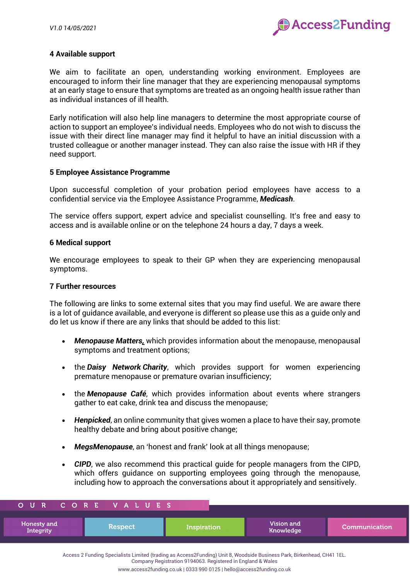

## **4 Available support**

We aim to facilitate an open, understanding working environment. Employees are encouraged to inform their line manager that they are experiencing menopausal symptoms at an early stage to ensure that symptoms are treated as an ongoing health issue rather than as individual instances of ill health.

Early notification will also help line managers to determine the most appropriate course of action to support an employee's individual needs. Employees who do not wish to discuss the issue with their direct line manager may find it helpful to have an initial discussion with a trusted colleague or another manager instead. They can also raise the issue with HR if they need support.

### **5 Employee Assistance Programme**

Upon successful completion of your probation period employees have access to a confidential service via the Employee Assistance Programme, *Medicash*.

The service offers support, expert advice and specialist counselling. It's free and easy to access and is available online or on the telephone 24 hours a day, 7 days a week.

### **6 Medical support**

We encourage employees to speak to their GP when they are experiencing menopausal symptoms.

## **7 Further resources**

The following are links to some external sites that you may find useful. We are aware there is a lot of guidance available, and everyone is different so please use this as a guide only and do let us know if there are any links that should be added to this list:

- *[Menopause Matters](https://emea01.safelinks.protection.outlook.com/?url=https%3A%2F%2Fwww.menopausematters.co.uk%2F&data=04%7C01%7C%7Cc89d882484094c4a085508d8f9eed1f4%7C84df9e7fe9f640afb435aaaaaaaaaaaa%7C1%7C0%7C637534151402702680%7CUnknown%7CTWFpbGZsb3d8eyJWIjoiMC4wLjAwMDAiLCJQIjoiV2luMzIiLCJBTiI6Ik1haWwiLCJXVCI6Mn0%3D%7C1000&sdata=1ZMEuFqsBjCyvVUroOg9rJ9j8ak5petdaRH7uF31m80%3D&reserved=0),* which provides information about the menopause, menopausal symptoms and treatment options;
- the *Daisy [Network](https://emea01.safelinks.protection.outlook.com/?url=https%3A%2F%2Fwww.daisynetwork.org%2F&data=04%7C01%7C%7Cc89d882484094c4a085508d8f9eed1f4%7C84df9e7fe9f640afb435aaaaaaaaaaaa%7C1%7C0%7C637534151402712645%7CUnknown%7CTWFpbGZsb3d8eyJWIjoiMC4wLjAwMDAiLCJQIjoiV2luMzIiLCJBTiI6Ik1haWwiLCJXVCI6Mn0%3D%7C1000&sdata=Rzhe14Crbxc6qgvPj2QK5LyVS8sb2aqcqys2Lglm2Rw%3D&reserved=0) Charity*, which provides support for women experiencing premature menopause or premature ovarian insufficiency;
- the *[Menopause Café](https://emea01.safelinks.protection.outlook.com/?url=https%3A%2F%2Fwww.menopausecafe.net%2F&data=04%7C01%7C%7Cc89d882484094c4a085508d8f9eed1f4%7C84df9e7fe9f640afb435aaaaaaaaaaaa%7C1%7C0%7C637534151402712645%7CUnknown%7CTWFpbGZsb3d8eyJWIjoiMC4wLjAwMDAiLCJQIjoiV2luMzIiLCJBTiI6Ik1haWwiLCJXVCI6Mn0%3D%7C1000&sdata=%2BLQ7cHrEAW5MbUAD9jCAJ7J%2BBiNvETOn0UU4RoxLANM%3D&reserved=0)*, which provides information about events where strangers gather to eat cake, drink tea and discuss the menopause;
- *Henpicked*, an online community that gives women a place to have their say, promote healthy debate and bring about positive change;
- *MegsMenopause*, an 'honest and frank' look at all things menopause;
- **CIPD**, we also recommend this practical quide for people managers from the CIPD. which offers quidance on supporting employees going through the menopause, including how to approach the conversations about it appropriately and sensitively.

| OUR                             | I CORE VALUES, |             |                         |                       |
|---------------------------------|----------------|-------------|-------------------------|-----------------------|
| Honesty and<br><b>Integrity</b> | <b>Respect</b> | Inspiration | Vision and<br>Knowledge | <b>Communication'</b> |

Access 2 Funding Specialists Limited (trading as Access2Funding) Unit 8, Woodside Business Park, Birkenhead, CH41 1EL. Company Registration 9194063. Registered in England & Wales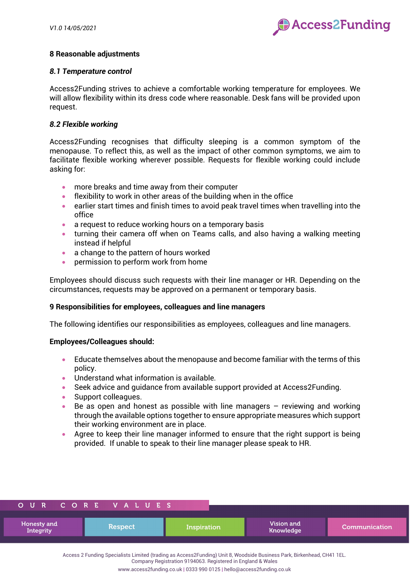

# **8 Reasonable adjustments**

## *8.1 Temperature control*

Access2Funding strives to achieve a comfortable working temperature for employees. We will allow flexibility within its dress code where reasonable. Desk fans will be provided upon request.

## *8.2 Flexible working*

Access2Funding recognises that difficulty sleeping is a common symptom of the menopause. To reflect this, as well as the impact of other common symptoms, we aim to facilitate flexible working wherever possible. Requests for flexible working could include asking for:

- more breaks and time away from their computer
- flexibility to work in other areas of the building when in the office
- earlier start times and finish times to avoid peak travel times when travelling into the office
- a request to reduce working hours on a temporary basis
- turning their camera off when on Teams calls, and also having a walking meeting instead if helpful
- a change to the pattern of hours worked
- permission to perform work from home

Employees should discuss such requests with their line manager or HR. Depending on the circumstances, requests may be approved on a permanent or temporary basis.

## **9 Responsibilities for employees, colleagues and line managers**

The following identifies our responsibilities as employees, colleagues and line managers.

### **Employees/Colleagues should:**

- Educate themselves about the menopause and become familiar with the terms of this policy.
- Understand what information is available.
- Seek advice and guidance from available support provided at Access2Funding.
- Support colleagues.
- Be as open and honest as possible with line managers reviewing and working through the available options together to ensure appropriate measures which support their working environment are in place.
- Agree to keep their line manager informed to ensure that the right support is being provided. If unable to speak to their line manager please speak to HR.

|                                 | OUR CORE VALUES |             |                         |               |
|---------------------------------|-----------------|-------------|-------------------------|---------------|
| Honesty and<br><b>Integrity</b> | <b>Respect</b>  | Inspiration | Vision and<br>Knowledge | Communication |

Access 2 Funding Specialists Limited (trading as Access2Funding) Unit 8, Woodside Business Park, Birkenhead, CH41 1EL.